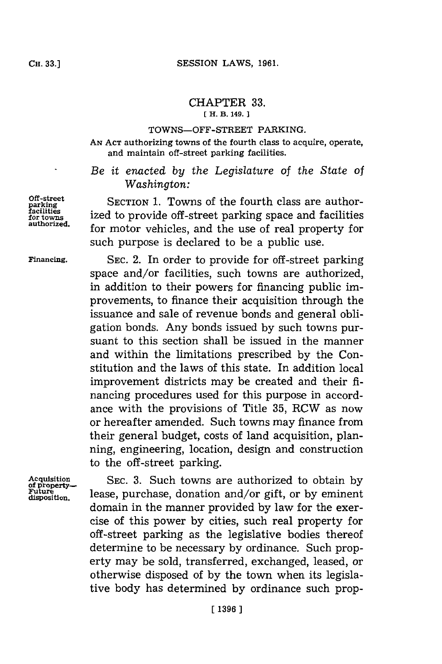# CHAPTER **33.**

## **[ H. B. 149.**

#### **TOWNS-OFF-STREET PARKING.**

**AN ACT** authorizing towns of the fourth class to acquire, operate, and maintain off-street parking facilities.

- *Be it enacted by the Legislature of the State of Washington:*

Off-street SECTION 1. Towns of the fourth class are author-<br> **facilities facilities** ized to provide off-street parking space and facilities<br> **authorized.** for motor vehicles, and the use of real property for such purpose is declared to be a public use.

**Financing. SEC.** 2. In order to provide for off-street parking space and/or facilities, such towns are authorized, in addition to their powers for financing public improvements, to finance their acquisition through the issuance and sale of revenue bonds and general obligation bonds. Any bonds issued **by** such towns pursuant to this section shall be issued in the manner and within the limitations prescribed **by** the Constitution and the laws of this state. In addition local improvement districts may be created and their **fi**nancing procedures used for this purpose in accordance with the provisions of Title **35,** RCW as now or hereafter amended. Such towns may finance from their general budget, costs of land acquisition, planning, engineering, location, design and construction to the off-street parking.

Acquisition SEC. 3. Such towns are authorized to obtain by<br> **of property**<br> **Future** loose purchase depation and/or gift or by eminent Future . lease, purchase, donation and/or gift, or by eminent domain in the manner provided **by** law for the exercise of this power **by** cities, such real property for off-street parking as the legislative bodies thereof determine to be necessary **by** ordinance. Such property may be sold, transferred, exchanged, leased, or otherwise disposed of **by** the town when its legislative body has determined **by** ordinance such prop-